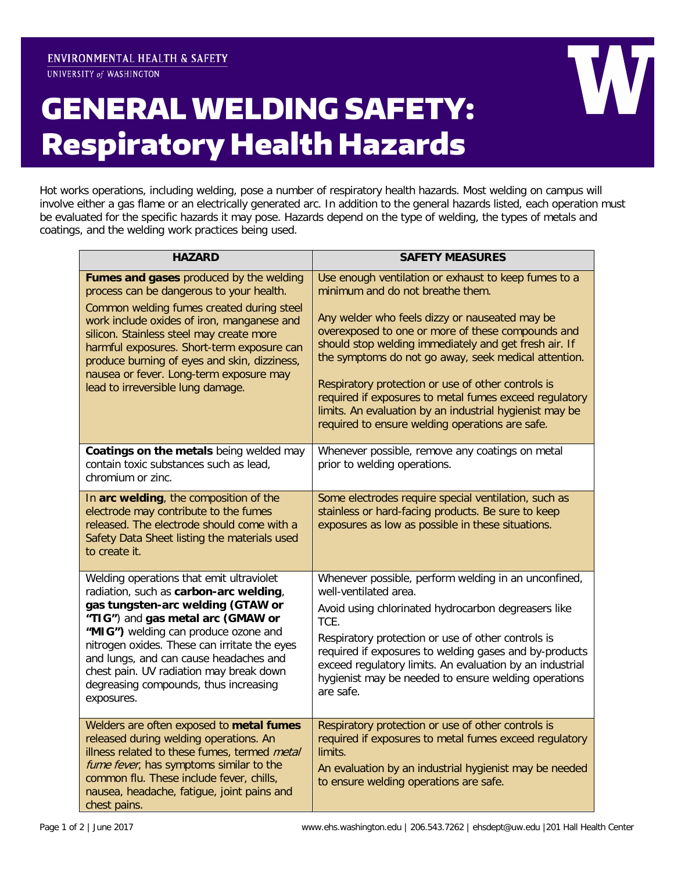UNIVERSITY of WASHINGTON

## GENERAL WELDING SAFETY: Respiratory Health Hazards

Hot works operations, including welding, pose a number of respiratory health hazards. Most welding on campus will involve either a gas flame or an electrically generated arc. In addition to the general hazards listed, each operation must be evaluated for the specific hazards it may pose. Hazards depend on the type of welding, the types of metals and coatings, and the welding work practices being used.

| <b>HAZARD</b>                                                                                                                                                                                                                                                                                                                                                                                            | <b>SAFETY MEASURES</b>                                                                                                                                                                                                                                                                                                                                                                                                                                                                                                                         |
|----------------------------------------------------------------------------------------------------------------------------------------------------------------------------------------------------------------------------------------------------------------------------------------------------------------------------------------------------------------------------------------------------------|------------------------------------------------------------------------------------------------------------------------------------------------------------------------------------------------------------------------------------------------------------------------------------------------------------------------------------------------------------------------------------------------------------------------------------------------------------------------------------------------------------------------------------------------|
| Fumes and gases produced by the welding<br>process can be dangerous to your health.<br>Common welding fumes created during steel<br>work include oxides of iron, manganese and<br>silicon. Stainless steel may create more<br>harmful exposures. Short-term exposure can<br>produce burning of eyes and skin, dizziness,<br>nausea or fever. Long-term exposure may<br>lead to irreversible lung damage. | Use enough ventilation or exhaust to keep fumes to a<br>minimum and do not breathe them.<br>Any welder who feels dizzy or nauseated may be<br>overexposed to one or more of these compounds and<br>should stop welding immediately and get fresh air. If<br>the symptoms do not go away, seek medical attention.<br>Respiratory protection or use of other controls is<br>required if exposures to metal fumes exceed regulatory<br>limits. An evaluation by an industrial hygienist may be<br>required to ensure welding operations are safe. |
| Coatings on the metals being welded may<br>contain toxic substances such as lead,<br>chromium or zinc.                                                                                                                                                                                                                                                                                                   | Whenever possible, remove any coatings on metal<br>prior to welding operations.                                                                                                                                                                                                                                                                                                                                                                                                                                                                |
| In arc welding, the composition of the<br>electrode may contribute to the fumes<br>released. The electrode should come with a<br>Safety Data Sheet listing the materials used<br>to create it.                                                                                                                                                                                                           | Some electrodes require special ventilation, such as<br>stainless or hard-facing products. Be sure to keep<br>exposures as low as possible in these situations.                                                                                                                                                                                                                                                                                                                                                                                |
| Welding operations that emit ultraviolet<br>radiation, such as carbon-arc welding,<br>gas tungsten-arc welding (GTAW or<br>"TIG") and gas metal arc (GMAW or<br>"MIG") welding can produce ozone and<br>nitrogen oxides. These can irritate the eyes<br>and lungs, and can cause headaches and<br>chest pain. UV radiation may break down<br>degreasing compounds, thus increasing<br>exposures.         | Whenever possible, perform welding in an unconfined,<br>well-ventilated area.<br>Avoid using chlorinated hydrocarbon degreasers like<br>TCE.<br>Respiratory protection or use of other controls is<br>required if exposures to welding gases and by-products<br>exceed regulatory limits. An evaluation by an industrial<br>hygienist may be needed to ensure welding operations<br>are safe.                                                                                                                                                  |
| Welders are often exposed to metal fumes<br>released during welding operations. An<br>illness related to these fumes, termed metal<br>fume fever, has symptoms similar to the<br>common flu. These include fever, chills,<br>nausea, headache, fatigue, joint pains and<br>chest pains.                                                                                                                  | Respiratory protection or use of other controls is<br>required if exposures to metal fumes exceed regulatory<br>limits.<br>An evaluation by an industrial hygienist may be needed<br>to ensure welding operations are safe.                                                                                                                                                                                                                                                                                                                    |